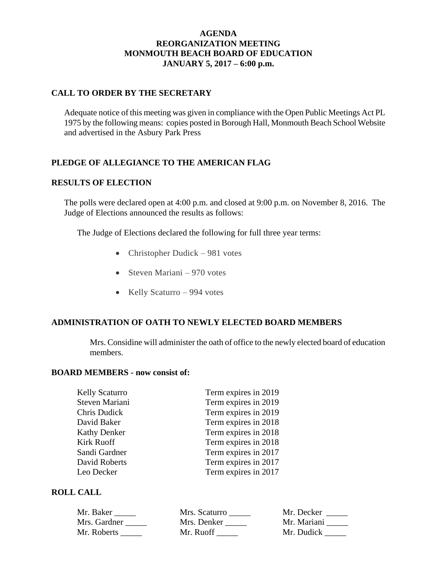## **AGENDA REORGANIZATION MEETING MONMOUTH BEACH BOARD OF EDUCATION JANUARY 5, 2017 – 6:00 p.m.**

## **CALL TO ORDER BY THE SECRETARY**

Adequate notice of this meeting was given in compliance with the Open Public Meetings Act PL 1975 by the following means: copies posted in Borough Hall, Monmouth Beach School Website and advertised in the Asbury Park Press

# **PLEDGE OF ALLEGIANCE TO THE AMERICAN FLAG**

### **RESULTS OF ELECTION**

The polls were declared open at 4:00 p.m. and closed at 9:00 p.m. on November 8, 2016. The Judge of Elections announced the results as follows:

The Judge of Elections declared the following for full three year terms:

- Christopher Dudick 981 votes
- Steven Mariani 970 votes
- $\bullet$  Kelly Scaturro 994 votes

### **ADMINISTRATION OF OATH TO NEWLY ELECTED BOARD MEMBERS**

Mrs. Considine will administer the oath of office to the newly elected board of education members.

#### **BOARD MEMBERS - now consist of:**

| <b>Kelly Scaturro</b> | Term expires in 2019 |
|-----------------------|----------------------|
| Steven Mariani        | Term expires in 2019 |
| Chris Dudick          | Term expires in 2019 |
| David Baker           | Term expires in 2018 |
| <b>Kathy Denker</b>   | Term expires in 2018 |
| Kirk Ruoff            | Term expires in 2018 |
| Sandi Gardner         | Term expires in 2017 |
| David Roberts         | Term expires in 2017 |
| Leo Decker            | Term expires in 2017 |
|                       |                      |

## **ROLL CALL**

| Mr. Baker    | Mrs. Scaturro | Mr. Decker  |
|--------------|---------------|-------------|
| Mrs. Gardner | Mrs. Denker   | Mr. Mariani |
| Mr. Roberts  | Mr. Ruoff     | Mr. Dudick  |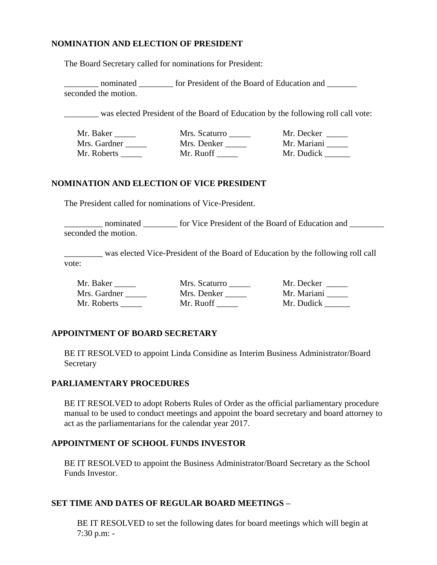## **NOMINATION AND ELECTION OF PRESIDENT**

The Board Secretary called for nominations for President:

nominated for President of the Board of Education and seconded the motion.

was elected President of the Board of Education by the following roll call vote:

| Mr. Baker    | Mrs. Scaturro | Mr. Decker  |
|--------------|---------------|-------------|
| Mrs. Gardner | Mrs. Denker   | Mr. Mariani |
| Mr. Roberts  | Mr. Ruoff     | Mr. Dudick  |

### **NOMINATION AND ELECTION OF VICE PRESIDENT**

The President called for nominations of Vice-President.

\_ nominated \_\_\_\_\_\_\_\_ for Vice President of the Board of Education and \_\_\_\_\_\_\_\_\_ seconded the motion.

\_\_\_\_\_\_\_\_\_ was elected Vice-President of the Board of Education by the following roll call vote:

| Mr. Baker    | Mrs. Scaturro | Mr. Decker  |
|--------------|---------------|-------------|
| Mrs. Gardner | Mrs. Denker   | Mr. Mariani |
| Mr. Roberts  | Mr. Ruoff     | Mr. Dudick  |

## **APPOINTMENT OF BOARD SECRETARY**

BE IT RESOLVED to appoint Linda Considine as Interim Business Administrator/Board **Secretary** 

### **PARLIAMENTARY PROCEDURES**

BE IT RESOLVED to adopt Roberts Rules of Order as the official parliamentary procedure manual to be used to conduct meetings and appoint the board secretary and board attorney to act as the parliamentarians for the calendar year 2017.

## **APPOINTMENT OF SCHOOL FUNDS INVESTOR**

BE IT RESOLVED to appoint the Business Administrator/Board Secretary as the School Funds Investor.

### **SET TIME AND DATES OF REGULAR BOARD MEETINGS –**

BE IT RESOLVED to set the following dates for board meetings which will begin at 7:30 p.m: -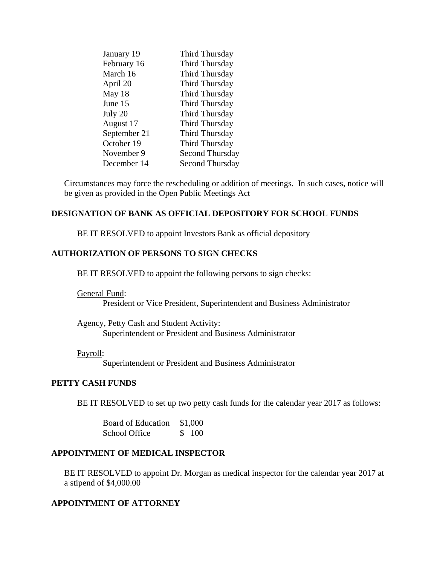| January 19   | Third Thursday         |
|--------------|------------------------|
| February 16  | Third Thursday         |
| March 16     | Third Thursday         |
| April 20     | Third Thursday         |
| May 18       | Third Thursday         |
| June 15      | Third Thursday         |
| July 20      | Third Thursday         |
| August 17    | Third Thursday         |
| September 21 | Third Thursday         |
| October 19   | Third Thursday         |
| November 9   | <b>Second Thursday</b> |
| December 14  | Second Thursday        |

Circumstances may force the rescheduling or addition of meetings. In such cases, notice will be given as provided in the Open Public Meetings Act

## **DESIGNATION OF BANK AS OFFICIAL DEPOSITORY FOR SCHOOL FUNDS**

BE IT RESOLVED to appoint Investors Bank as official depository

### **AUTHORIZATION OF PERSONS TO SIGN CHECKS**

BE IT RESOLVED to appoint the following persons to sign checks:

General Fund:

President or Vice President, Superintendent and Business Administrator

Agency, Petty Cash and Student Activity: Superintendent or President and Business Administrator

### Payroll:

Superintendent or President and Business Administrator

#### **PETTY CASH FUNDS**

BE IT RESOLVED to set up two petty cash funds for the calendar year 2017 as follows:

Board of Education \$1,000 School Office \$ 100

## **APPOINTMENT OF MEDICAL INSPECTOR**

BE IT RESOLVED to appoint Dr. Morgan as medical inspector for the calendar year 2017 at a stipend of \$4,000.00

### **APPOINTMENT OF ATTORNEY**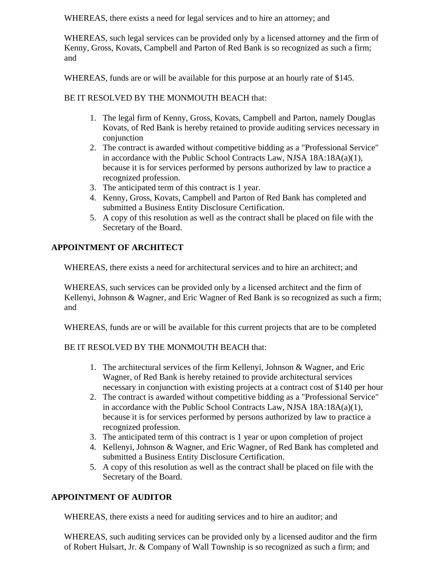WHEREAS, there exists a need for legal services and to hire an attorney; and

WHEREAS, such legal services can be provided only by a licensed attorney and the firm of Kenny, Gross, Kovats, Campbell and Parton of Red Bank is so recognized as such a firm; and

WHEREAS, funds are or will be available for this purpose at an hourly rate of \$145.

## BE IT RESOLVED BY THE MONMOUTH BEACH that:

- 1. The legal firm of Kenny, Gross, Kovats, Campbell and Parton, namely Douglas Kovats, of Red Bank is hereby retained to provide auditing services necessary in conjunction
- 2. The contract is awarded without competitive bidding as a "Professional Service" in accordance with the Public School Contracts Law, NJSA 18A:18A(a)(1), because it is for services performed by persons authorized by law to practice a recognized profession.
- 3. The anticipated term of this contract is 1 year.
- 4. Kenny, Gross, Kovats, Campbell and Parton of Red Bank has completed and submitted a Business Entity Disclosure Certification.
- 5. A copy of this resolution as well as the contract shall be placed on file with the Secretary of the Board.

# **APPOINTMENT OF ARCHITECT**

WHEREAS, there exists a need for architectural services and to hire an architect; and

WHEREAS, such services can be provided only by a licensed architect and the firm of Kellenyi, Johnson & Wagner, and Eric Wagner of Red Bank is so recognized as such a firm; and

WHEREAS, funds are or will be available for this current projects that are to be completed

## BE IT RESOLVED BY THE MONMOUTH BEACH that:

- 1. The architectural services of the firm Kellenyi, Johnson & Wagner, and Eric Wagner, of Red Bank is hereby retained to provide architectural services necessary in conjunction with existing projects at a contract cost of \$140 per hour
- 2. The contract is awarded without competitive bidding as a "Professional Service" in accordance with the Public School Contracts Law, NJSA 18A:18A(a)(1), because it is for services performed by persons authorized by law to practice a recognized profession.
- 3. The anticipated term of this contract is 1 year or upon completion of project
- 4. Kellenyi, Johnson & Wagner, and Eric Wagner, of Red Bank has completed and submitted a Business Entity Disclosure Certification.
- 5. A copy of this resolution as well as the contract shall be placed on file with the Secretary of the Board.

## **APPOINTMENT OF AUDITOR**

WHEREAS, there exists a need for auditing services and to hire an auditor; and

WHEREAS, such auditing services can be provided only by a licensed auditor and the firm of Robert Hulsart, Jr. & Company of Wall Township is so recognized as such a firm; and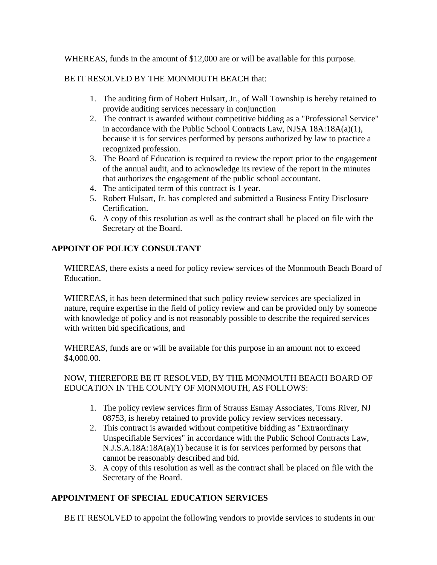WHEREAS, funds in the amount of \$12,000 are or will be available for this purpose.

# BE IT RESOLVED BY THE MONMOUTH BEACH that:

- 1. The auditing firm of Robert Hulsart, Jr., of Wall Township is hereby retained to provide auditing services necessary in conjunction
- 2. The contract is awarded without competitive bidding as a "Professional Service" in accordance with the Public School Contracts Law, NJSA 18A:18A(a)(1), because it is for services performed by persons authorized by law to practice a recognized profession.
- 3. The Board of Education is required to review the report prior to the engagement of the annual audit, and to acknowledge its review of the report in the minutes that authorizes the engagement of the public school accountant.
- 4. The anticipated term of this contract is 1 year.
- 5. Robert Hulsart, Jr. has completed and submitted a Business Entity Disclosure Certification.
- 6. A copy of this resolution as well as the contract shall be placed on file with the Secretary of the Board.

# **APPOINT OF POLICY CONSULTANT**

WHEREAS, there exists a need for policy review services of the Monmouth Beach Board of Education.

WHEREAS, it has been determined that such policy review services are specialized in nature, require expertise in the field of policy review and can be provided only by someone with knowledge of policy and is not reasonably possible to describe the required services with written bid specifications, and

WHEREAS, funds are or will be available for this purpose in an amount not to exceed \$4,000.00.

## NOW, THEREFORE BE IT RESOLVED, BY THE MONMOUTH BEACH BOARD OF EDUCATION IN THE COUNTY OF MONMOUTH, AS FOLLOWS:

- 1. The policy review services firm of Strauss Esmay Associates, Toms River, NJ 08753, is hereby retained to provide policy review services necessary.
- 2. This contract is awarded without competitive bidding as "Extraordinary Unspecifiable Services" in accordance with the Public School Contracts Law, N.J.S.A.18A:18A(a)(1) because it is for services performed by persons that cannot be reasonably described and bid.
- 3. A copy of this resolution as well as the contract shall be placed on file with the Secretary of the Board.

# **APPOINTMENT OF SPECIAL EDUCATION SERVICES**

BE IT RESOLVED to appoint the following vendors to provide services to students in our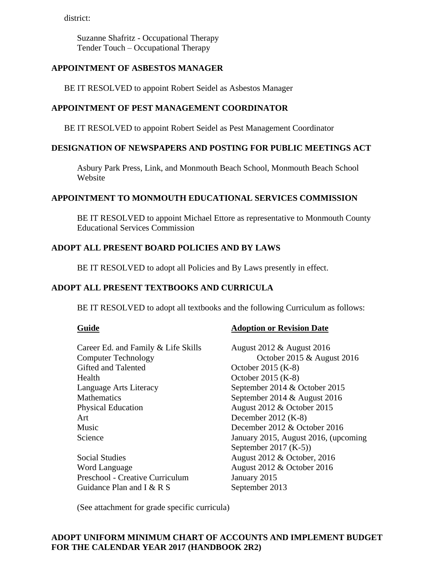district:

Suzanne Shafritz - Occupational Therapy Tender Touch – Occupational Therapy

## **APPOINTMENT OF ASBESTOS MANAGER**

BE IT RESOLVED to appoint Robert Seidel as Asbestos Manager

## **APPOINTMENT OF PEST MANAGEMENT COORDINATOR**

BE IT RESOLVED to appoint Robert Seidel as Pest Management Coordinator

### **DESIGNATION OF NEWSPAPERS AND POSTING FOR PUBLIC MEETINGS ACT**

Asbury Park Press, Link, and Monmouth Beach School, Monmouth Beach School Website

### **APPOINTMENT TO MONMOUTH EDUCATIONAL SERVICES COMMISSION**

BE IT RESOLVED to appoint Michael Ettore as representative to Monmouth County Educational Services Commission

### **ADOPT ALL PRESENT BOARD POLICIES AND BY LAWS**

BE IT RESOLVED to adopt all Policies and By Laws presently in effect.

### **ADOPT ALL PRESENT TEXTBOOKS AND CURRICULA**

BE IT RESOLVED to adopt all textbooks and the following Curriculum as follows:

#### **Guide Adoption or Revision Date**

| Career Ed. and Family & Life Skills | August 2012 & August 2016            |
|-------------------------------------|--------------------------------------|
| <b>Computer Technology</b>          | October 2015 & August 2016           |
| Gifted and Talented                 | October 2015 (K-8)                   |
| Health                              | October 2015 (K-8)                   |
| Language Arts Literacy              | September 2014 & October 2015        |
| <b>Mathematics</b>                  | September 2014 $&$ August 2016       |
| <b>Physical Education</b>           | August 2012 & October 2015           |
| Art                                 | December $2012$ (K-8)                |
| Music                               | December 2012 & October 2016         |
| Science                             | January 2015, August 2016, (upcoming |
|                                     | September 2017 $(K-5)$               |
| <b>Social Studies</b>               | August 2012 & October, 2016          |
| Word Language                       | August 2012 & October 2016           |
| Preschool - Creative Curriculum     | January 2015                         |
| Guidance Plan and I $&$ R S         | September 2013                       |

(See attachment for grade specific curricula)

## **ADOPT UNIFORM MINIMUM CHART OF ACCOUNTS AND IMPLEMENT BUDGET FOR THE CALENDAR YEAR 2017 (HANDBOOK 2R2)**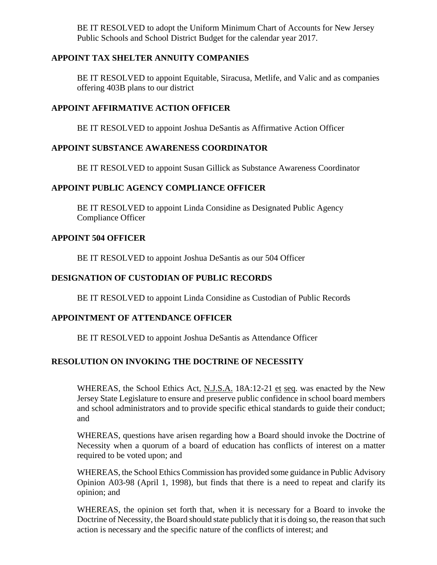BE IT RESOLVED to adopt the Uniform Minimum Chart of Accounts for New Jersey Public Schools and School District Budget for the calendar year 2017.

## **APPOINT TAX SHELTER ANNUITY COMPANIES**

BE IT RESOLVED to appoint Equitable, Siracusa, Metlife, and Valic and as companies offering 403B plans to our district

## **APPOINT AFFIRMATIVE ACTION OFFICER**

BE IT RESOLVED to appoint Joshua DeSantis as Affirmative Action Officer

### **APPOINT SUBSTANCE AWARENESS COORDINATOR**

BE IT RESOLVED to appoint Susan Gillick as Substance Awareness Coordinator

### **APPOINT PUBLIC AGENCY COMPLIANCE OFFICER**

BE IT RESOLVED to appoint Linda Considine as Designated Public Agency Compliance Officer

### **APPOINT 504 OFFICER**

BE IT RESOLVED to appoint Joshua DeSantis as our 504 Officer

## **DESIGNATION OF CUSTODIAN OF PUBLIC RECORDS**

BE IT RESOLVED to appoint Linda Considine as Custodian of Public Records

### **APPOINTMENT OF ATTENDANCE OFFICER**

BE IT RESOLVED to appoint Joshua DeSantis as Attendance Officer

## **RESOLUTION ON INVOKING THE DOCTRINE OF NECESSITY**

WHEREAS, the School Ethics Act, N.J.S.A. 18A:12-21 et seq. was enacted by the New Jersey State Legislature to ensure and preserve public confidence in school board members and school administrators and to provide specific ethical standards to guide their conduct; and

WHEREAS, questions have arisen regarding how a Board should invoke the Doctrine of Necessity when a quorum of a board of education has conflicts of interest on a matter required to be voted upon; and

WHEREAS, the School Ethics Commission has provided some guidance in Public Advisory Opinion A03-98 (April 1, 1998), but finds that there is a need to repeat and clarify its opinion; and

WHEREAS, the opinion set forth that, when it is necessary for a Board to invoke the Doctrine of Necessity, the Board should state publicly that it is doing so, the reason that such action is necessary and the specific nature of the conflicts of interest; and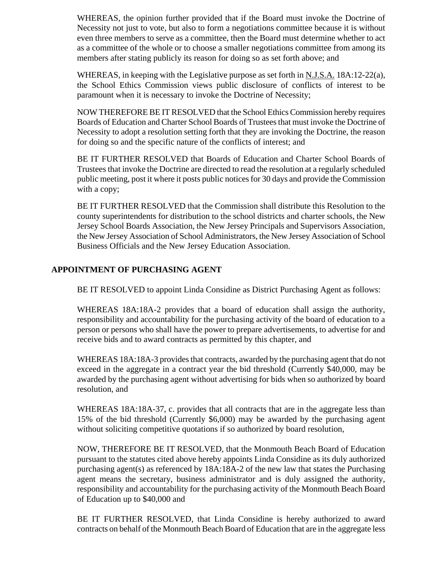WHEREAS, the opinion further provided that if the Board must invoke the Doctrine of Necessity not just to vote, but also to form a negotiations committee because it is without even three members to serve as a committee, then the Board must determine whether to act as a committee of the whole or to choose a smaller negotiations committee from among its members after stating publicly its reason for doing so as set forth above; and

WHEREAS, in keeping with the Legislative purpose as set forth in N.J.S.A. 18A:12-22(a), the School Ethics Commission views public disclosure of conflicts of interest to be paramount when it is necessary to invoke the Doctrine of Necessity;

NOW THEREFORE BE IT RESOLVED that the School Ethics Commission hereby requires Boards of Education and Charter School Boards of Trustees that must invoke the Doctrine of Necessity to adopt a resolution setting forth that they are invoking the Doctrine, the reason for doing so and the specific nature of the conflicts of interest; and

BE IT FURTHER RESOLVED that Boards of Education and Charter School Boards of Trustees that invoke the Doctrine are directed to read the resolution at a regularly scheduled public meeting, post it where it posts public notices for 30 days and provide the Commission with a copy;

BE IT FURTHER RESOLVED that the Commission shall distribute this Resolution to the county superintendents for distribution to the school districts and charter schools, the New Jersey School Boards Association, the New Jersey Principals and Supervisors Association, the New Jersey Association of School Administrators, the New Jersey Association of School Business Officials and the New Jersey Education Association.

## **APPOINTMENT OF PURCHASING AGENT**

BE IT RESOLVED to appoint Linda Considine as District Purchasing Agent as follows:

WHEREAS 18A:18A-2 provides that a board of education shall assign the authority, responsibility and accountability for the purchasing activity of the board of education to a person or persons who shall have the power to prepare advertisements, to advertise for and receive bids and to award contracts as permitted by this chapter, and

WHEREAS 18A:18A-3 provides that contracts, awarded by the purchasing agent that do not exceed in the aggregate in a contract year the bid threshold (Currently \$40,000, may be awarded by the purchasing agent without advertising for bids when so authorized by board resolution, and

WHEREAS 18A:18A-37, c. provides that all contracts that are in the aggregate less than 15% of the bid threshold (Currently \$6,000) may be awarded by the purchasing agent without soliciting competitive quotations if so authorized by board resolution,

NOW, THEREFORE BE IT RESOLVED, that the Monmouth Beach Board of Education pursuant to the statutes cited above hereby appoints Linda Considine as its duly authorized purchasing agent(s) as referenced by 18A:18A-2 of the new law that states the Purchasing agent means the secretary, business administrator and is duly assigned the authority, responsibility and accountability for the purchasing activity of the Monmouth Beach Board of Education up to \$40,000 and

BE IT FURTHER RESOLVED, that Linda Considine is hereby authorized to award contracts on behalf of the Monmouth Beach Board of Education that are in the aggregate less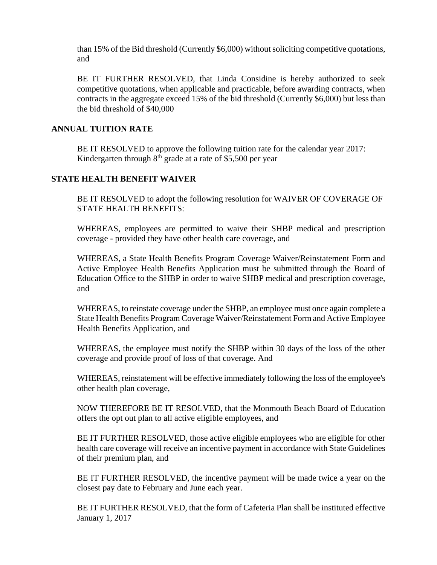than 15% of the Bid threshold (Currently \$6,000) without soliciting competitive quotations, and

BE IT FURTHER RESOLVED, that Linda Considine is hereby authorized to seek competitive quotations, when applicable and practicable, before awarding contracts, when contracts in the aggregate exceed 15% of the bid threshold (Currently \$6,000) but less than the bid threshold of \$40,000

## **ANNUAL TUITION RATE**

BE IT RESOLVED to approve the following tuition rate for the calendar year 2017: Kindergarten through  $8<sup>th</sup>$  grade at a rate of \$5,500 per year

## **STATE HEALTH BENEFIT WAIVER**

BE IT RESOLVED to adopt the following resolution for WAIVER OF COVERAGE OF STATE HEALTH BENEFITS:

WHEREAS, employees are permitted to waive their SHBP medical and prescription coverage - provided they have other health care coverage, and

WHEREAS, a State Health Benefits Program Coverage Waiver/Reinstatement Form and Active Employee Health Benefits Application must be submitted through the Board of Education Office to the SHBP in order to waive SHBP medical and prescription coverage, and

WHEREAS, to reinstate coverage under the SHBP, an employee must once again complete a State Health Benefits Program Coverage Waiver/Reinstatement Form and Active Employee Health Benefits Application, and

WHEREAS, the employee must notify the SHBP within 30 days of the loss of the other coverage and provide proof of loss of that coverage. And

WHEREAS, reinstatement will be effective immediately following the loss of the employee's other health plan coverage,

NOW THEREFORE BE IT RESOLVED, that the Monmouth Beach Board of Education offers the opt out plan to all active eligible employees, and

BE IT FURTHER RESOLVED, those active eligible employees who are eligible for other health care coverage will receive an incentive payment in accordance with State Guidelines of their premium plan, and

BE IT FURTHER RESOLVED, the incentive payment will be made twice a year on the closest pay date to February and June each year.

BE IT FURTHER RESOLVED, that the form of Cafeteria Plan shall be instituted effective January 1, 2017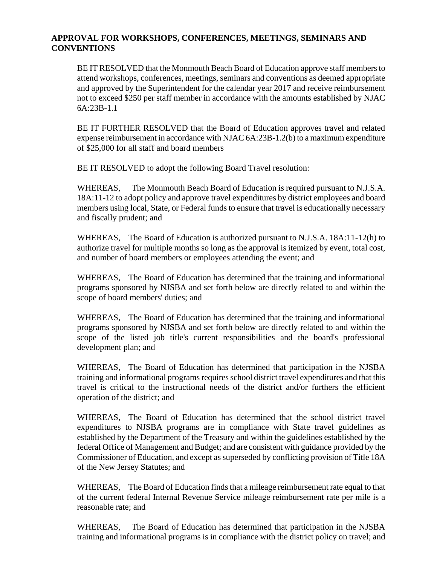## **APPROVAL FOR WORKSHOPS, CONFERENCES, MEETINGS, SEMINARS AND CONVENTIONS**

BE IT RESOLVED that the Monmouth Beach Board of Education approve staff members to attend workshops, conferences, meetings, seminars and conventions as deemed appropriate and approved by the Superintendent for the calendar year 2017 and receive reimbursement not to exceed \$250 per staff member in accordance with the amounts established by NJAC  $6A.23B-1.1$ 

BE IT FURTHER RESOLVED that the Board of Education approves travel and related expense reimbursement in accordance with NJAC 6A:23B-1.2(b) to a maximum expenditure of \$25,000 for all staff and board members

BE IT RESOLVED to adopt the following Board Travel resolution:

WHEREAS, The Monmouth Beach Board of Education is required pursuant to N.J.S.A. 18A:11-12 to adopt policy and approve travel expenditures by district employees and board members using local, State, or Federal funds to ensure that travel is educationally necessary and fiscally prudent; and

WHEREAS, The Board of Education is authorized pursuant to N.J.S.A. 18A:11-12(h) to authorize travel for multiple months so long as the approval is itemized by event, total cost, and number of board members or employees attending the event; and

WHEREAS, The Board of Education has determined that the training and informational programs sponsored by NJSBA and set forth below are directly related to and within the scope of board members' duties; and

WHEREAS, The Board of Education has determined that the training and informational programs sponsored by NJSBA and set forth below are directly related to and within the scope of the listed job title's current responsibilities and the board's professional development plan; and

WHEREAS, The Board of Education has determined that participation in the NJSBA training and informational programs requires school district travel expenditures and that this travel is critical to the instructional needs of the district and/or furthers the efficient operation of the district; and

WHEREAS, The Board of Education has determined that the school district travel expenditures to NJSBA programs are in compliance with State travel guidelines as established by the Department of the Treasury and within the guidelines established by the federal Office of Management and Budget; and are consistent with guidance provided by the Commissioner of Education, and except as superseded by conflicting provision of Title 18A of the New Jersey Statutes; and

WHEREAS, The Board of Education finds that a mileage reimbursement rate equal to that of the current federal Internal Revenue Service mileage reimbursement rate per mile is a reasonable rate; and

WHEREAS, The Board of Education has determined that participation in the NJSBA training and informational programs is in compliance with the district policy on travel; and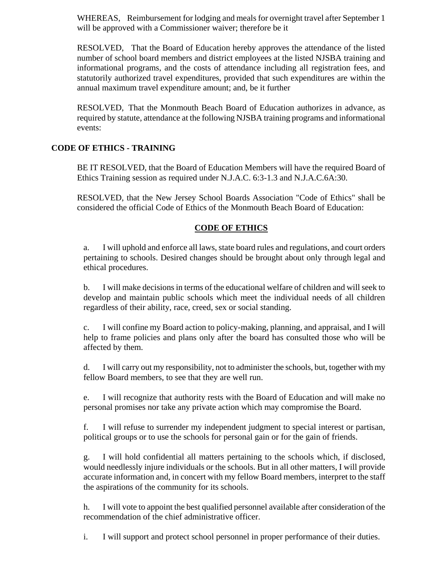WHEREAS, Reimbursement for lodging and meals for overnight travel after September 1 will be approved with a Commissioner waiver; therefore be it

RESOLVED, That the Board of Education hereby approves the attendance of the listed number of school board members and district employees at the listed NJSBA training and informational programs, and the costs of attendance including all registration fees, and statutorily authorized travel expenditures, provided that such expenditures are within the annual maximum travel expenditure amount; and, be it further

RESOLVED, That the Monmouth Beach Board of Education authorizes in advance, as required by statute, attendance at the following NJSBA training programs and informational events:

# **CODE OF ETHICS - TRAINING**

BE IT RESOLVED, that the Board of Education Members will have the required Board of Ethics Training session as required under N.J.A.C. 6:3-1.3 and N.J.A.C.6A:30.

RESOLVED, that the New Jersey School Boards Association "Code of Ethics" shall be considered the official Code of Ethics of the Monmouth Beach Board of Education:

## **CODE OF ETHICS**

a. I will uphold and enforce all laws, state board rules and regulations, and court orders pertaining to schools. Desired changes should be brought about only through legal and ethical procedures.

b. I will make decisions in terms of the educational welfare of children and will seek to develop and maintain public schools which meet the individual needs of all children regardless of their ability, race, creed, sex or social standing.

c. I will confine my Board action to policy-making, planning, and appraisal, and I will help to frame policies and plans only after the board has consulted those who will be affected by them.

d. I will carry out my responsibility, not to administer the schools, but, together with my fellow Board members, to see that they are well run.

e. I will recognize that authority rests with the Board of Education and will make no personal promises nor take any private action which may compromise the Board.

f. I will refuse to surrender my independent judgment to special interest or partisan, political groups or to use the schools for personal gain or for the gain of friends.

g. I will hold confidential all matters pertaining to the schools which, if disclosed, would needlessly injure individuals or the schools. But in all other matters, I will provide accurate information and, in concert with my fellow Board members, interpret to the staff the aspirations of the community for its schools.

h. I will vote to appoint the best qualified personnel available after consideration of the recommendation of the chief administrative officer.

i. I will support and protect school personnel in proper performance of their duties.